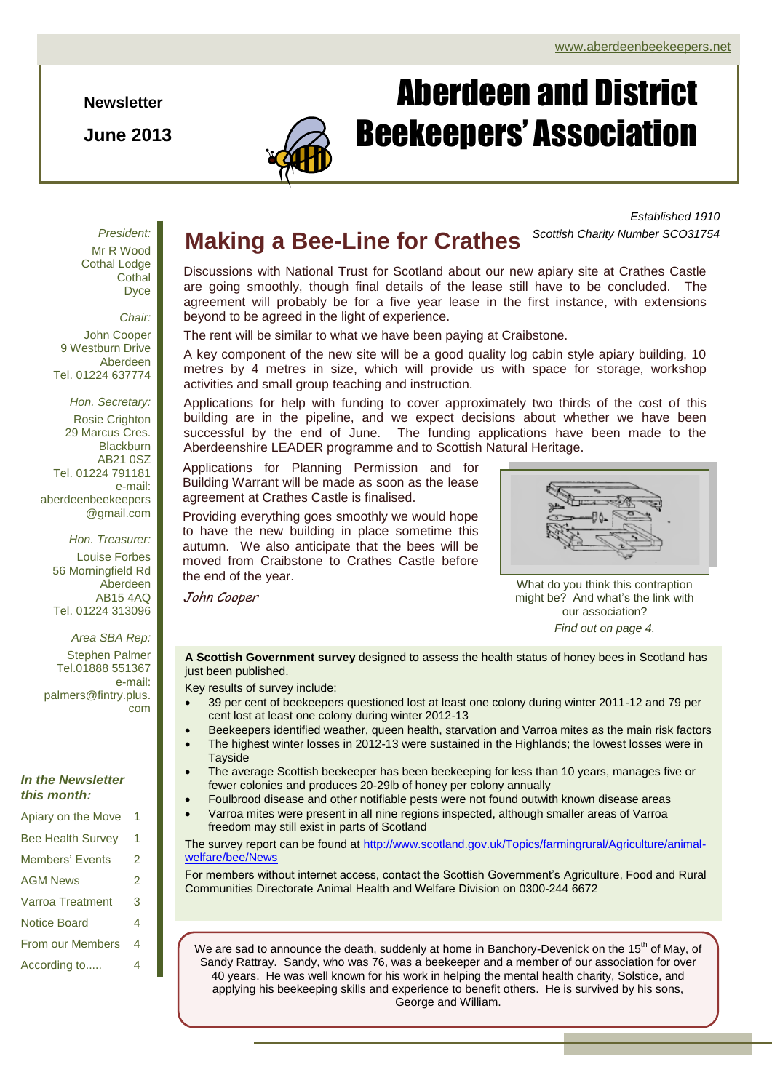**Newsletter**

**June 2013**



# Aberdeen and District Beekeepers' Association

*Established 1910 Scottish Charity Number SCO31754*

*President:* Mr R Wood Cothal Lodge **Cothal** Dyce

*Chair:* John Cooper 9 Westburn Drive Aberdeen Tel. 01224 637774

*Hon. Secretary:* Rosie Crighton 29 Marcus Cres. **Blackburn** AB21 0SZ Tel. 01224 791181 e-mail: aberdeenbeekeepers @gmail.com

*Hon. Treasurer:* Louise Forbes 56 Morningfield Rd Aberdeen AB15 4AQ Tel. 01224 313096

*Area SBA Rep:* Stephen Palmer Tel.01888 551367 e-mail: palmers@fintry.plus. com

#### *In the Newsletter this month:*

Apiary on the Move 1 Bee Health Survey 1 Members' Events 2 AGM News 2 Varroa Treatment 3 Notice Board 4 From our Members 4 According to..... 4

### **Making a Bee-Line for Crathes**

Discussions with National Trust for Scotland about our new apiary site at Crathes Castle are going smoothly, though final details of the lease still have to be concluded. The agreement will probably be for a five year lease in the first instance, with extensions beyond to be agreed in the light of experience.

The rent will be similar to what we have been paying at Craibstone.

A key component of the new site will be a good quality log cabin style apiary building, 10 metres by 4 metres in size, which will provide us with space for storage, workshop activities and small group teaching and instruction.

Applications for help with funding to cover approximately two thirds of the cost of this building are in the pipeline, and we expect decisions about whether we have been successful by the end of June. The funding applications have been made to the Aberdeenshire LEADER programme and to Scottish Natural Heritage.

Applications for Planning Permission and for Building Warrant will be made as soon as the lease agreement at Crathes Castle is finalised.

Providing everything goes smoothly we would hope to have the new building in place sometime this autumn. We also anticipate that the bees will be moved from Craibstone to Crathes Castle before the end of the year.

John Cooper

What do you think this contraption might be? And what's the link with our association?

*Find out on page 4.*

**A Scottish Government survey** designed to assess the health status of honey bees in Scotland has just been published.

Key results of survey include:

- 39 per cent of beekeepers questioned lost at least one colony during winter 2011-12 and 79 per cent lost at least one colony during winter 2012-13
- Beekeepers identified weather, queen health, starvation and Varroa mites as the main risk factors
	- The highest winter losses in 2012-13 were sustained in the Highlands; the lowest losses were in **Tayside**
- The average Scottish beekeeper has been beekeeping for less than 10 years, manages five or fewer colonies and produces 20-29lb of honey per colony annually
- Foulbrood disease and other notifiable pests were not found outwith known disease areas
- Varroa mites were present in all nine regions inspected, although smaller areas of Varroa freedom may still exist in parts of Scotland

The survey report can be found at [http://www.scotland.gov.uk/Topics/farmingrural/Agriculture/animal](http://www.scotland.gov.uk/Topics/farmingrural/Agriculture/animal-welfare/bee/News)[welfare/bee/News](http://www.scotland.gov.uk/Topics/farmingrural/Agriculture/animal-welfare/bee/News)

For members without internet access, contact the Scottish Government's Agriculture, Food and Rural Communities Directorate Animal Health and Welfare Division on 0300-244 6672

We are sad to announce the death, suddenly at home in Banchory-Devenick on the 15<sup>th</sup> of May, of Sandy Rattray. Sandy, who was 76, was a beekeeper and a member of our association for over 40 years. He was well known for his work in helping the mental health charity, Solstice, and applying his beekeeping skills and experience to benefit others. He is survived by his sons, George and William.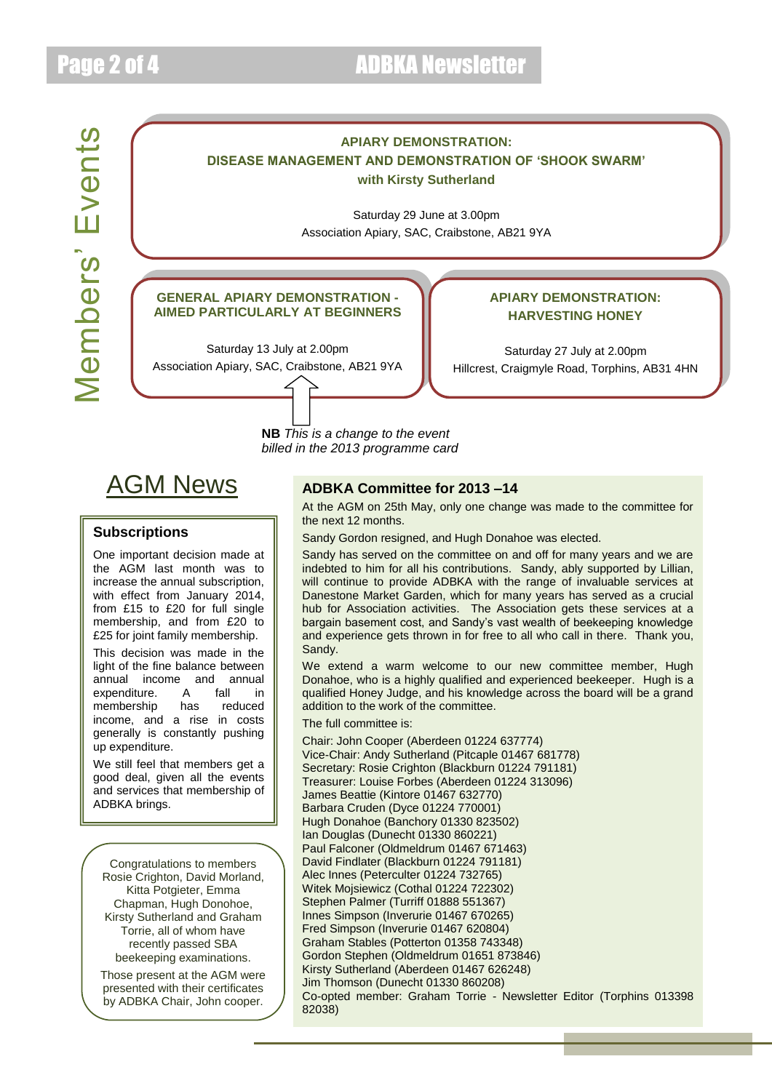### Page 2 of 4 **ADBKA** Newsletter

Members' Events Members' Events



## AGM News

#### **Subscriptions**

One important decision made at the AGM last month was to increase the annual subscription, with effect from January 2014, from £15 to £20 for full single membership, and from £20 to £25 for joint family membership.

This decision was made in the light of the fine balance between  $\frac{1}{2}$  annual income and annual  $\frac{1}{2}$  annual expenditure. A fall in membership has reduced income, and a rise in costs generally is constantly pushing up expenditure.

We still feel that members get a good deal, given all the events and services that membership of ADBKA brings.

Congratulations to members Rosie Crighton, David Morland, Kitta Potgieter, Emma Chapman, Hugh Donohoe, Kirsty Sutherland and Graham Torrie, all of whom have recently passed SBA beekeeping examinations.

Those present at the AGM were presented with their certificates by ADBKA Chair, John cooper.

#### **ADBKA Committee for 2013 –14**

At the AGM on 25th May, only one change was made to the committee for the next 12 months.

Sandy Gordon resigned, and Hugh Donahoe was elected.

indebted to him for all his contributions. Sandy, ably supported by Lillian, Sandy has served on the committee on and off for many years and we are will continue to provide ADBKA with the range of invaluable services at Danestone Market Garden, which for many years has served as a crucial hub for Association activities. The Association gets these services at a bargain basement cost, and Sandy's vast wealth of beekeeping knowledge and experience gets thrown in for free to all who call in there. Thank you, Sandy.

We extend a warm welcome to our new committee member, Hugh Donahoe, who is a highly qualified and experienced beekeeper. Hugh is a qualified Honey Judge, and his knowledge across the board will be a grand addition to the work of the committee.

#### The full committee is:

Chair: John Cooper (Aberdeen 01224 637774) Vice-Chair: Andy Sutherland (Pitcaple 01467 681778) Secretary: Rosie Crighton (Blackburn 01224 791181) Treasurer: Louise Forbes (Aberdeen 01224 313096) James Beattie (Kintore 01467 632770) Barbara Cruden (Dyce 01224 770001) Hugh Donahoe (Banchory 01330 823502) Ian Douglas (Dunecht 01330 860221) Paul Falconer (Oldmeldrum 01467 671463) David Findlater (Blackburn 01224 791181) Alec Innes (Peterculter 01224 732765) Witek Mojsiewicz (Cothal 01224 722302) Stephen Palmer (Turriff 01888 551367) Innes Simpson (Inverurie 01467 670265) Fred Simpson (Inverurie 01467 620804) Graham Stables (Potterton 01358 743348) Gordon Stephen (Oldmeldrum 01651 873846) Kirsty Sutherland (Aberdeen 01467 626248) Jim Thomson (Dunecht 01330 860208) Co-opted member: Graham Torrie - Newsletter Editor (Torphins 013398 82038)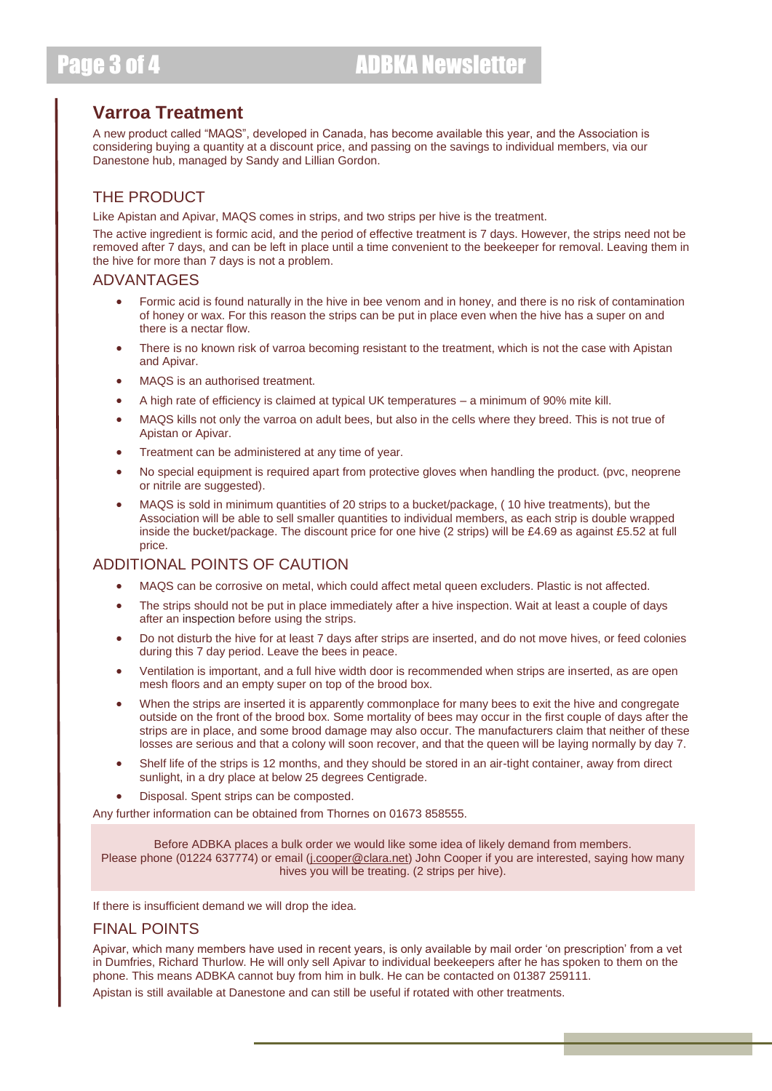### **Varroa Treatment**

A new product called "MAQS", developed in Canada, has become available this year, and the Association is considering buying a quantity at a discount price, and passing on the savings to individual members, via our Danestone hub, managed by Sandy and Lillian Gordon.

### THE PRODUCT

Like Apistan and Apivar, MAQS comes in strips, and two strips per hive is the treatment.

The active ingredient is formic acid, and the period of effective treatment is 7 days. However, the strips need not be removed after 7 days, and can be left in place until a time convenient to the beekeeper for removal. Leaving them in the hive for more than 7 days is not a problem.

#### ADVANTAGES

- Formic acid is found naturally in the hive in bee venom and in honey, and there is no risk of contamination of honey or wax. For this reason the strips can be put in place even when the hive has a super on and there is a nectar flow.
- There is no known risk of varroa becoming resistant to the treatment, which is not the case with Apistan and Apivar.
- MAQS is an authorised treatment.
- A high rate of efficiency is claimed at typical UK temperatures a minimum of 90% mite kill.
- MAQS kills not only the varroa on adult bees, but also in the cells where they breed. This is not true of Apistan or Apivar.
- Treatment can be administered at any time of year.
- No special equipment is required apart from protective gloves when handling the product. (pvc, neoprene or nitrile are suggested).
- MAQS is sold in minimum quantities of 20 strips to a bucket/package, ( 10 hive treatments), but the Association will be able to sell smaller quantities to individual members, as each strip is double wrapped inside the bucket/package. The discount price for one hive (2 strips) will be £4.69 as against £5.52 at full price.

#### ADDITIONAL POINTS OF CAUTION

- MAQS can be corrosive on metal, which could affect metal queen excluders. Plastic is not affected.
- The strips should not be put in place immediately after a hive inspection. Wait at least a couple of days after an inspection before using the strips.
- Do not disturb the hive for at least 7 days after strips are inserted, and do not move hives, or feed colonies during this 7 day period. Leave the bees in peace.
- Ventilation is important, and a full hive width door is recommended when strips are inserted, as are open mesh floors and an empty super on top of the brood box.
- When the strips are inserted it is apparently commonplace for many bees to exit the hive and congregate outside on the front of the brood box. Some mortality of bees may occur in the first couple of days after the strips are in place, and some brood damage may also occur. The manufacturers claim that neither of these losses are serious and that a colony will soon recover, and that the queen will be laying normally by day 7.
- Shelf life of the strips is 12 months, and they should be stored in an air-tight container, away from direct sunlight, in a dry place at below 25 degrees Centigrade.
- Disposal. Spent strips can be composted.

Any further information can be obtained from Thornes on 01673 858555.

Before ADBKA places a bulk order we would like some idea of likely demand from members. Please phone (01224 637774) or email [\(j.cooper@clara.net\)](mailto:j.cooper@clara.net) John Cooper if you are interested, saying how many hives you will be treating. (2 strips per hive).

If there is insufficient demand we will drop the idea.

#### FINAL POINTS

Apivar, which many members have used in recent years, is only available by mail order 'on prescription' from a vet in Dumfries, Richard Thurlow. He will only sell Apivar to individual beekeepers after he has spoken to them on the phone. This means ADBKA cannot buy from him in bulk. He can be contacted on 01387 259111. Apistan is still available at Danestone and can still be useful if rotated with other treatments.